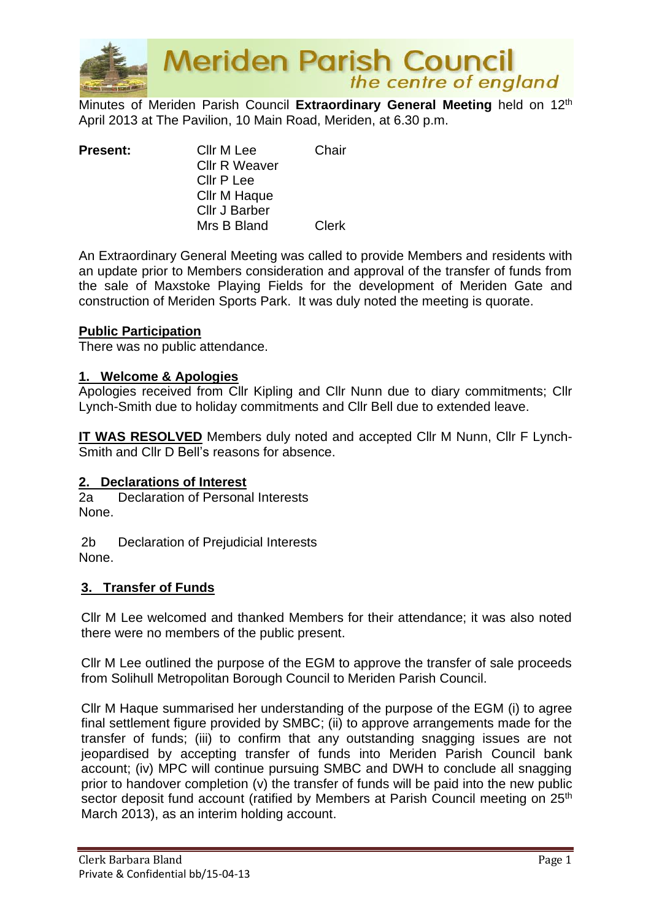

**Meriden Parish Council**<br>the centre of england

Minutes of Meriden Parish Council **Extraordinary General Meeting** held on 12th April 2013 at The Pavilion, 10 Main Road, Meriden, at 6.30 p.m.

| <b>Present:</b> | Cllr M Lee           | Chair |
|-----------------|----------------------|-------|
|                 | <b>Cllr R Weaver</b> |       |
|                 | Cllr P Lee           |       |
|                 | Cllr M Haque         |       |
|                 | <b>Cllr J Barber</b> |       |
|                 | Mrs B Bland          | Clerk |

An Extraordinary General Meeting was called to provide Members and residents with an update prior to Members consideration and approval of the transfer of funds from the sale of Maxstoke Playing Fields for the development of Meriden Gate and construction of Meriden Sports Park. It was duly noted the meeting is quorate.

## **Public Participation**

There was no public attendance.

## **1. Welcome & Apologies**

Apologies received from Cllr Kipling and Cllr Nunn due to diary commitments; Cllr Lynch-Smith due to holiday commitments and Cllr Bell due to extended leave.

**IT WAS RESOLVED** Members duly noted and accepted Cllr M Nunn, Cllr F Lynch-Smith and Cllr D Bell's reasons for absence.

## **2. Declarations of Interest**

2a Declaration of Personal Interests None.

2b Declaration of Prejudicial Interests None.

## **3. Transfer of Funds**

Cllr M Lee welcomed and thanked Members for their attendance; it was also noted there were no members of the public present.

Cllr M Lee outlined the purpose of the EGM to approve the transfer of sale proceeds from Solihull Metropolitan Borough Council to Meriden Parish Council.

Cllr M Haque summarised her understanding of the purpose of the EGM (i) to agree final settlement figure provided by SMBC; (ii) to approve arrangements made for the transfer of funds; (iii) to confirm that any outstanding snagging issues are not jeopardised by accepting transfer of funds into Meriden Parish Council bank account; (iv) MPC will continue pursuing SMBC and DWH to conclude all snagging prior to handover completion (v) the transfer of funds will be paid into the new public sector deposit fund account (ratified by Members at Parish Council meeting on 25<sup>th</sup> March 2013), as an interim holding account.